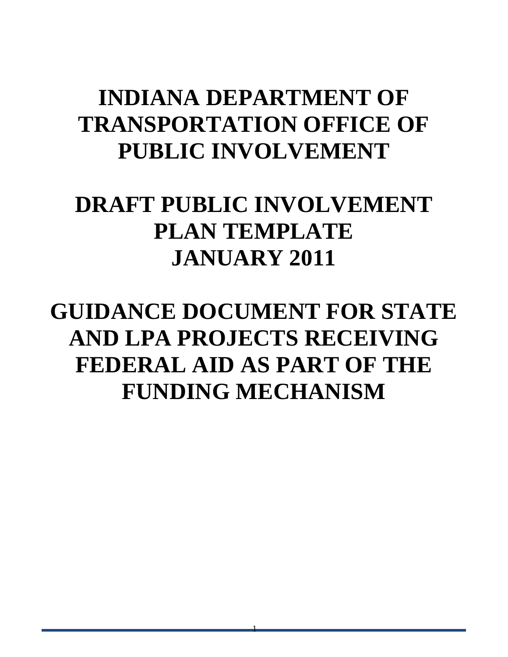# **INDIANA DEPARTMENT OF TRANSPORTATION OFFICE OF PUBLIC INVOLVEMENT**

# **DRAFT PUBLIC INVOLVEMENT PLAN TEMPLATE JANUARY 2011**

# **GUIDANCE DOCUMENT FOR STATE AND LPA PROJECTS RECEIVING FEDERAL AID AS PART OF THE FUNDING MECHANISM**

1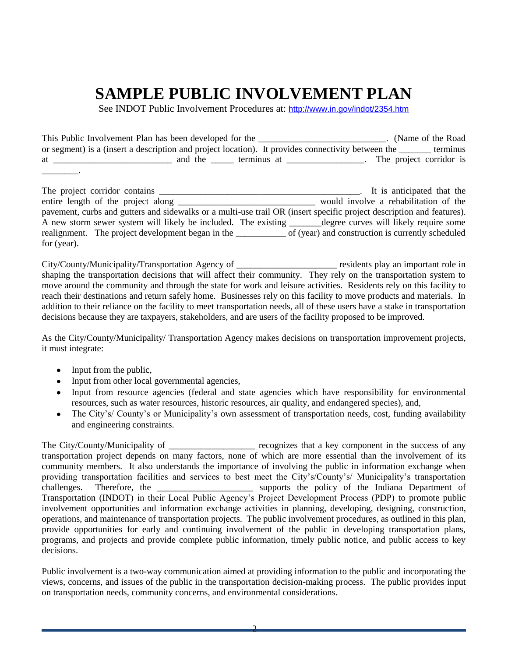## **SAMPLE PUBLIC INVOLVEMENT PLAN**

See INDOT Public Involvement Procedures at: <http://www.in.gov/indot/2354.htm>

|    | This Public Involvement Plan has been developed for the                                            |                         | (Name of the Road) |          |  |
|----|----------------------------------------------------------------------------------------------------|-------------------------|--------------------|----------|--|
|    | or segment) is a (insert a description and project location). It provides connectivity between the |                         |                    | terminus |  |
| at | and the<br>terminus at                                                                             | The project corridor is |                    |          |  |
|    |                                                                                                    |                         |                    |          |  |

| The project corridor contains                                                                                         | It is anticipated that the                        |
|-----------------------------------------------------------------------------------------------------------------------|---------------------------------------------------|
|                                                                                                                       | would involve a rehabilitation of the             |
| pavement, curbs and gutters and sidewalks or a multi-use trail OR (insert specific project description and features). |                                                   |
| A new storm sewer system will likely be included. The existing <u>equal degree</u> curves will likely require some    |                                                   |
| realignment. The project development began in the                                                                     | of (year) and construction is currently scheduled |
| for $(year)$ .                                                                                                        |                                                   |

City/County/Municipality/Transportation Agency of \_\_\_\_\_\_\_\_\_\_\_\_\_\_\_\_\_\_\_\_\_\_ residents play an important role in shaping the transportation decisions that will affect their community. They rely on the transportation system to move around the community and through the state for work and leisure activities. Residents rely on this facility to reach their destinations and return safely home. Businesses rely on this facility to move products and materials. In addition to their reliance on the facility to meet transportation needs, all of these users have a stake in transportation decisions because they are taxpayers, stakeholders, and are users of the facility proposed to be improved.

As the City/County/Municipality/ Transportation Agency makes decisions on transportation improvement projects, it must integrate:

- Input from the public,
- Input from other local governmental agencies,
- Input from resource agencies (federal and state agencies which have responsibility for environmental resources, such as water resources, historic resources, air quality, and endangered species), and,
- The City's/ County's or Municipality's own assessment of transportation needs, cost, funding availability  $\bullet$ and engineering constraints.

The City/County/Municipality of \_\_\_\_\_\_\_\_\_\_\_\_\_\_\_\_\_\_\_ recognizes that a key component in the success of any transportation project depends on many factors, none of which are more essential than the involvement of its community members. It also understands the importance of involving the public in information exchange when providing transportation facilities and services to best meet the City's/County's/ Municipality's transportation challenges. Therefore, the \_\_\_\_\_\_\_\_\_\_\_\_\_\_\_\_\_\_\_\_\_\_\_\_ supports the policy of the Indiana Department of Transportation (INDOT) in their Local Public Agency's Project Development Process (PDP) to promote public involvement opportunities and information exchange activities in planning, developing, designing, construction, operations, and maintenance of transportation projects. The public involvement procedures, as outlined in this plan, provide opportunities for early and continuing involvement of the public in developing transportation plans, programs, and projects and provide complete public information, timely public notice, and public access to key decisions.

Public involvement is a two-way communication aimed at providing information to the public and incorporating the views, concerns, and issues of the public in the transportation decision-making process. The public provides input on transportation needs, community concerns, and environmental considerations.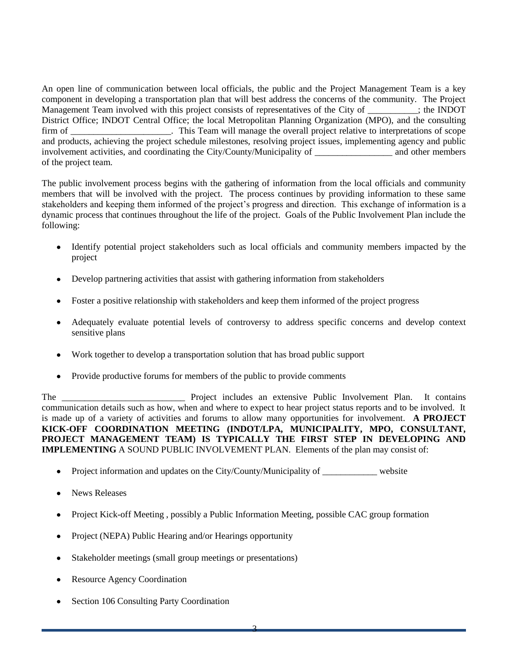An open line of communication between local officials, the public and the Project Management Team is a key component in developing a transportation plan that will best address the concerns of the community. The Project Management Team involved with this project consists of representatives of the City of \_\_\_\_\_\_\_\_\_\_\_; the INDOT District Office; INDOT Central Office; the local Metropolitan Planning Organization (MPO), and the consulting firm of This Team will manage the overall project relative to interpretations of scope and products, achieving the project schedule milestones, resolving project issues, implementing agency and public involvement activities, and coordinating the City/County/Municipality of and other members of the project team.

The public involvement process begins with the gathering of information from the local officials and community members that will be involved with the project. The process continues by providing information to these same stakeholders and keeping them informed of the project's progress and direction. This exchange of information is a dynamic process that continues throughout the life of the project. Goals of the Public Involvement Plan include the following:

- Identify potential project stakeholders such as local officials and community members impacted by the  $\bullet$ project
- Develop partnering activities that assist with gathering information from stakeholders  $\bullet$
- Foster a positive relationship with stakeholders and keep them informed of the project progress
- Adequately evaluate potential levels of controversy to address specific concerns and develop context sensitive plans
- Work together to develop a transportation solution that has broad public support
- Provide productive forums for members of the public to provide comments

The \_\_\_\_\_\_\_\_\_\_\_\_\_\_\_\_\_\_\_\_\_\_\_\_\_\_\_ Project includes an extensive Public Involvement Plan. It contains communication details such as how, when and where to expect to hear project status reports and to be involved. It is made up of a variety of activities and forums to allow many opportunities for involvement. **A PROJECT KICK-OFF COORDINATION MEETING (INDOT/LPA, MUNICIPALITY, MPO, CONSULTANT, PROJECT MANAGEMENT TEAM) IS TYPICALLY THE FIRST STEP IN DEVELOPING AND IMPLEMENTING** A SOUND PUBLIC INVOLVEMENT PLAN. Elements of the plan may consist of:

- Project information and updates on the City/County/Municipality of website  $\bullet$
- News Releases
- Project Kick-off Meeting , possibly a Public Information Meeting, possible CAC group formation
- Project (NEPA) Public Hearing and/or Hearings opportunity
- Stakeholder meetings (small group meetings or presentations)
- Resource Agency Coordination
- Section 106 Consulting Party Coordination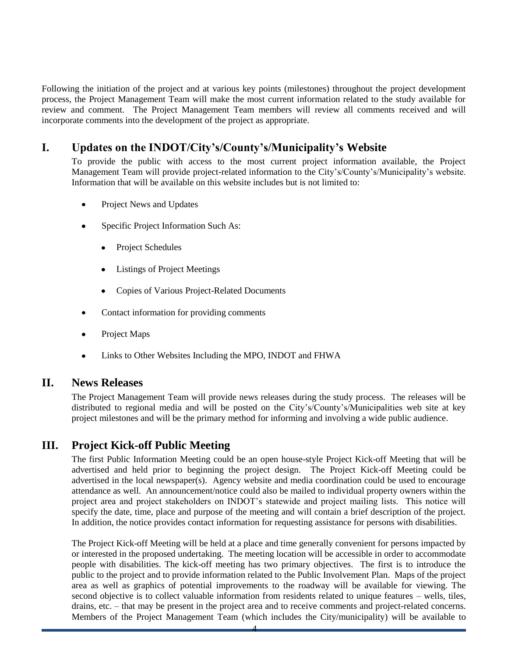Following the initiation of the project and at various key points (milestones) throughout the project development process, the Project Management Team will make the most current information related to the study available for review and comment. The Project Management Team members will review all comments received and will incorporate comments into the development of the project as appropriate.

### **I. Updates on the INDOT/City's/County's/Municipality's Website**

To provide the public with access to the most current project information available, the Project Management Team will provide project-related information to the City's/County's/Municipality's website. Information that will be available on this website includes but is not limited to:

- Project News and Updates
- Specific Project Information Such As:
	- Project Schedules
	- Listings of Project Meetings
	- Copies of Various Project-Related Documents
- Contact information for providing comments
- Project Maps
- Links to Other Websites Including the MPO, INDOT and FHWA

#### **II. News Releases**

The Project Management Team will provide news releases during the study process. The releases will be distributed to regional media and will be posted on the City's/County's/Municipalities web site at key project milestones and will be the primary method for informing and involving a wide public audience.

### **III. Project Kick-off Public Meeting**

The first Public Information Meeting could be an open house-style Project Kick-off Meeting that will be advertised and held prior to beginning the project design. The Project Kick-off Meeting could be advertised in the local newspaper(s). Agency website and media coordination could be used to encourage attendance as well. An announcement/notice could also be mailed to individual property owners within the project area and project stakeholders on INDOT's statewide and project mailing lists. This notice will specify the date, time, place and purpose of the meeting and will contain a brief description of the project. In addition, the notice provides contact information for requesting assistance for persons with disabilities.

The Project Kick-off Meeting will be held at a place and time generally convenient for persons impacted by or interested in the proposed undertaking. The meeting location will be accessible in order to accommodate people with disabilities. The kick-off meeting has two primary objectives. The first is to introduce the public to the project and to provide information related to the Public Involvement Plan. Maps of the project area as well as graphics of potential improvements to the roadway will be available for viewing. The second objective is to collect valuable information from residents related to unique features – wells, tiles, drains, etc. – that may be present in the project area and to receive comments and project-related concerns. Members of the Project Management Team (which includes the City/municipality) will be available to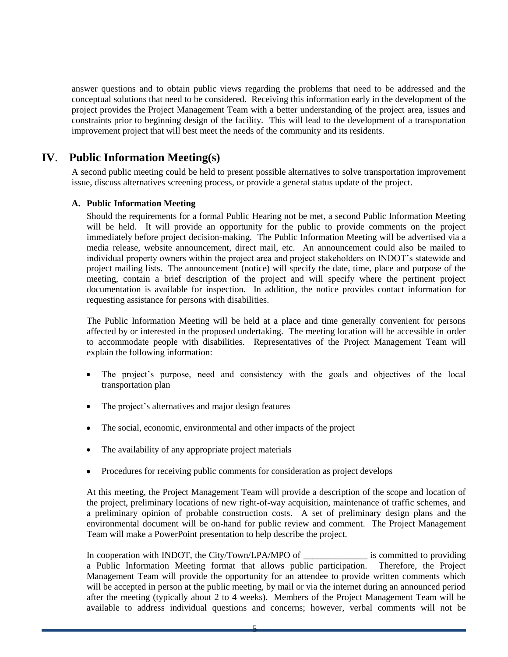answer questions and to obtain public views regarding the problems that need to be addressed and the conceptual solutions that need to be considered. Receiving this information early in the development of the project provides the Project Management Team with a better understanding of the project area, issues and constraints prior to beginning design of the facility. This will lead to the development of a transportation improvement project that will best meet the needs of the community and its residents.

### **IV**. **Public Information Meeting(s)**

A second public meeting could be held to present possible alternatives to solve transportation improvement issue, discuss alternatives screening process, or provide a general status update of the project.

#### **A. Public Information Meeting**

Should the requirements for a formal Public Hearing not be met, a second Public Information Meeting will be held. It will provide an opportunity for the public to provide comments on the project immediately before project decision-making. The Public Information Meeting will be advertised via a media release, website announcement, direct mail, etc. An announcement could also be mailed to individual property owners within the project area and project stakeholders on INDOT's statewide and project mailing lists. The announcement (notice) will specify the date, time, place and purpose of the meeting, contain a brief description of the project and will specify where the pertinent project documentation is available for inspection. In addition, the notice provides contact information for requesting assistance for persons with disabilities.

The Public Information Meeting will be held at a place and time generally convenient for persons affected by or interested in the proposed undertaking. The meeting location will be accessible in order to accommodate people with disabilities. Representatives of the Project Management Team will explain the following information:

- The project's purpose, need and consistency with the goals and objectives of the local transportation plan
- The project's alternatives and major design features  $\bullet$
- The social, economic, environmental and other impacts of the project
- The availability of any appropriate project materials
- Procedures for receiving public comments for consideration as project develops

At this meeting, the Project Management Team will provide a description of the scope and location of the project, preliminary locations of new right-of-way acquisition, maintenance of traffic schemes, and a preliminary opinion of probable construction costs. A set of preliminary design plans and the environmental document will be on-hand for public review and comment. The Project Management Team will make a PowerPoint presentation to help describe the project.

In cooperation with INDOT, the City/Town/LPA/MPO of \_\_\_\_\_\_\_\_\_\_\_\_\_\_\_\_ is committed to providing a Public Information Meeting format that allows public participation. Therefore, the Project Management Team will provide the opportunity for an attendee to provide written comments which will be accepted in person at the public meeting, by mail or via the internet during an announced period after the meeting (typically about 2 to 4 weeks). Members of the Project Management Team will be available to address individual questions and concerns; however, verbal comments will not be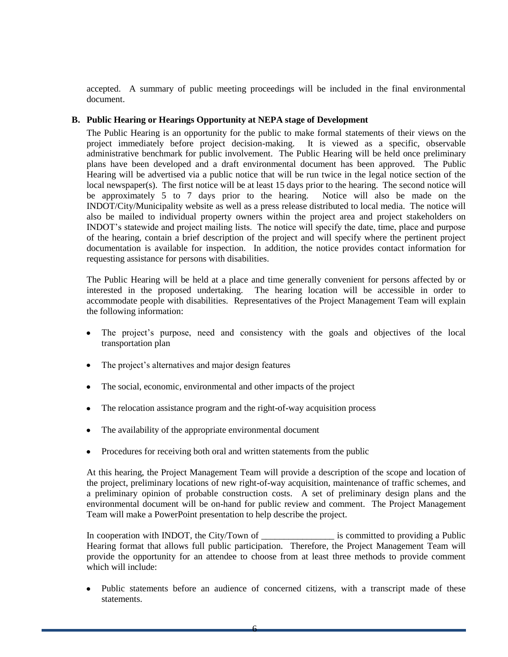accepted. A summary of public meeting proceedings will be included in the final environmental document.

#### **B. Public Hearing or Hearings Opportunity at NEPA stage of Development**

The Public Hearing is an opportunity for the public to make formal statements of their views on the project immediately before project decision-making. It is viewed as a specific, observable administrative benchmark for public involvement. The Public Hearing will be held once preliminary plans have been developed and a draft environmental document has been approved. The Public Hearing will be advertised via a public notice that will be run twice in the legal notice section of the local newspaper(s). The first notice will be at least 15 days prior to the hearing. The second notice will be approximately 5 to 7 days prior to the hearing. Notice will also be made on the INDOT/City/Municipality website as well as a press release distributed to local media. The notice will also be mailed to individual property owners within the project area and project stakeholders on INDOT's statewide and project mailing lists. The notice will specify the date, time, place and purpose of the hearing, contain a brief description of the project and will specify where the pertinent project documentation is available for inspection. In addition, the notice provides contact information for requesting assistance for persons with disabilities.

The Public Hearing will be held at a place and time generally convenient for persons affected by or interested in the proposed undertaking. The hearing location will be accessible in order to accommodate people with disabilities. Representatives of the Project Management Team will explain the following information:

- The project's purpose, need and consistency with the goals and objectives of the local  $\bullet$ transportation plan
- The project's alternatives and major design features  $\bullet$
- The social, economic, environmental and other impacts of the project
- The relocation assistance program and the right-of-way acquisition process  $\bullet$
- The availability of the appropriate environmental document  $\bullet$
- Procedures for receiving both oral and written statements from the public

At this hearing, the Project Management Team will provide a description of the scope and location of the project, preliminary locations of new right-of-way acquisition, maintenance of traffic schemes, and a preliminary opinion of probable construction costs. A set of preliminary design plans and the environmental document will be on-hand for public review and comment. The Project Management Team will make a PowerPoint presentation to help describe the project.

In cooperation with INDOT, the City/Town of \_\_\_\_\_\_\_\_\_\_\_\_\_\_\_\_\_\_\_\_ is committed to providing a Public Hearing format that allows full public participation. Therefore, the Project Management Team will provide the opportunity for an attendee to choose from at least three methods to provide comment which will include:

Public statements before an audience of concerned citizens, with a transcript made of these statements.

6